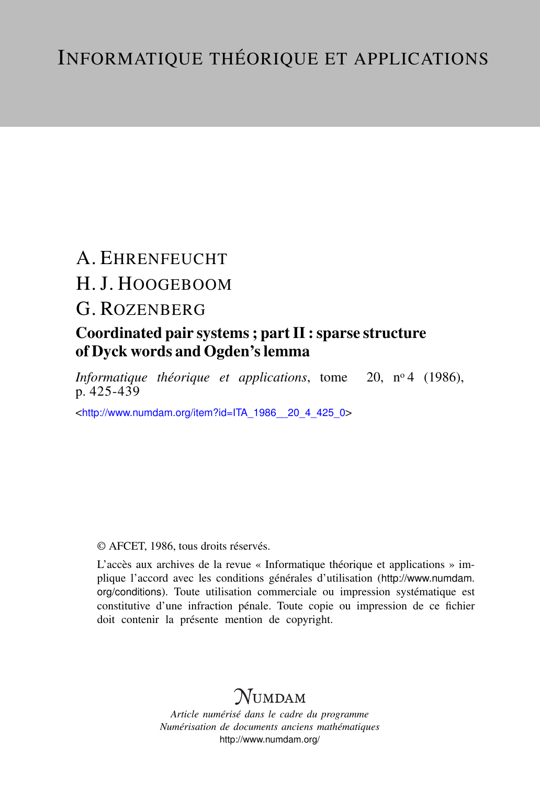# A. EHRENFEUCHT H. J. HOOGEBOOM

## G. ROZENBERG

### Coordinated pair systems ; part II : sparse structure of Dyck words and Ogden's lemma

*Informatique théorique et applications*, tome 20, nº 4 (1986), p. 425-439

<[http://www.numdam.org/item?id=ITA\\_1986\\_\\_20\\_4\\_425\\_0](http://www.numdam.org/item?id=ITA_1986__20_4_425_0)>

### © AFCET, 1986, tous droits réservés.

L'accès aux archives de la revue « Informatique théorique et applications » implique l'accord avec les conditions générales d'utilisation ([http://www.numdam.](http://www.numdam.org/conditions) [org/conditions](http://www.numdam.org/conditions)). Toute utilisation commerciale ou impression systématique est constitutive d'une infraction pénale. Toute copie ou impression de ce fichier doit contenir la présente mention de copyright.

## $N$ UMDAM

*Article numérisé dans le cadre du programme Numérisation de documents anciens mathématiques* <http://www.numdam.org/>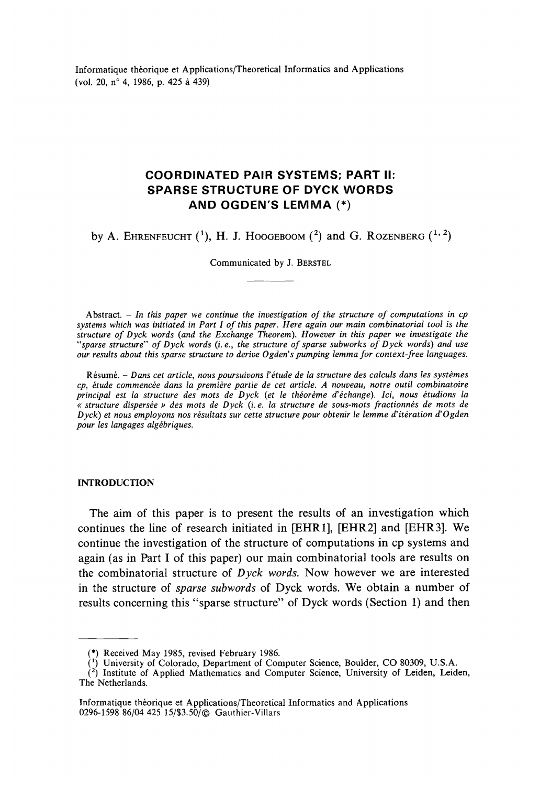Informatique théorique et Applications/Theoretical Informaties and Applications (vol. 20, n° 4, 1986, p. 425 à 439)

### **COORDINATED PAIR SYSTEMS; PART II: SPARSE STRUCTURE OF DYCK WORDS AND OGDEN'S LEMMA (\*)**

by A. Ehrenfeucht  $(1)$ , H. J. Hoogeboom  $(2)$  and G. Rozenberg  $(1, 2)$ 

Communicated by J. BERSTEL

Abstract. - *In this paper we continue the investigation of the structure of computations in cp Systems which was initiated in Part I of this paper. Hère again our main combinatorial tooi is the structure of Dyck words {and the Exchange Theorem). However in this paper we investigate the "sparse structure" of Dyck words (Le., the structure of sparse subworks of Dyck words) and use our results about this sparse structure to dérive Ogden's pumping lemma for context-free languages.*

Résumé. - *Dans cet article, nous poursuivons V'étude de la structure des calculs dans les systèmes cp, étude commencée dans la première partie de cet article. A nouveau, notre outil combinatoire principal est la structure des mots de Dyck (et le théorème d'échange). Ici, nous étudions la « structure dispersée » des mots de Dyck (L e. la structure de sous-mots fractionnés de mots de Dyck) et nous employons nos résultats sur cette structure pour obtenir le lemme d'itération d'Ogden pour les langages algébriques.*

#### **INTRODUCTION**

The aim of this paper is to present the results of an investigation which continues the line of research initiated in [EHR1], [EHR2] and [EHR3]. We continue the investigation of the structure of computations in cp systems and again (as in Part I of this paper) our main combinatorial tools are results on the combinatorial structure of *Dyck words.* Now however we are interested in the structure of *sparse subwords* of Dyck words. We obtain a number of results concerning this "sparse structure" of Dyck words (Section 1) and then

<sup>(\*)</sup> Received May 1985, revised February 1986.

<sup>&</sup>lt;sup>(1)</sup> University of Colorado, Department of Computer Science, Boulder, CO 80309, U.S.A.

<sup>&</sup>lt;sup>(2</sup>) Institute of Applied Mathematics and Computer Science, University of Leiden, Leiden, The Netherlands.

Informatique théorique et Applications/Theoretical Informaties and Applications 0296-1598 86/04 425 15/\$3.50/ Gauthier-Villars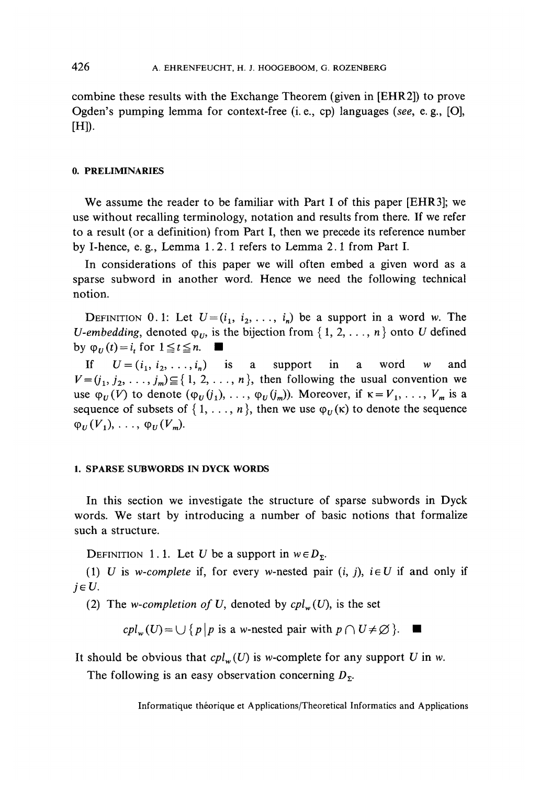combine these results with the Exchange Theorem (given in [EHR2]) to prove Ogden's pumping lemma for context-free (i. e., cp) languages *(see,* e. g., [O], [H]).

#### **0. PRELIMINARIES**

We assume the reader to be familiar with Part I of this paper [EHR3]; we use without recalling terminology, notation and results from there. If we refer to a result (or a definition) from Part I, then we precede its reference number by I-hence, e. g., Lemma 1.2.1 refers to Lemma 2.1 from Part I.

In considérations of this paper we will often embed a given word as a sparse subword in another word. Hence we need the following technical notion.

DEFINITION 0.1: Let  $U=(i_1, i_2, \ldots, i_n)$  be a support in a word w. The *U-embedding,* denoted  $\varphi_{U}$ , is the bijection from { 1, 2, . . ., *n* } onto *U* defined by  $\varphi_U(t) = i_t$  for  $1 \le t \le n$ .

If  $U = (i_1, i_2, \ldots, i_n)$  is a support in a word w and  $V=(j_1, j_2, \ldots, j_m) \subseteq \{1, 2, \ldots, n\}$ , then following the usual convention we use  $\varphi_U(V)$  to denote  $(\varphi_U(j_1), \ldots, \varphi_U(j_m))$ . Moreover, if  $\kappa = V_1, \ldots, V_m$  is a sequence of subsets of  $\{1, \ldots, n\}$ , then we use  $\varphi_{ij}(\kappa)$  to denote the sequence  $\varphi_U(V_1), \ldots, \varphi_U(V_m).$ 

#### **1. SPARSE SUBWORDS IN DYCK WORDS**

In this section we investigate the structure of sparse subwords in Dyck words. We start by introducing a number of basic notions that formalize such a structure.

DEFINITION 1.1. Let U be a support in  $w \in D_{\Sigma}$ .

(1) U is *w-complete* if, for every *w*-nested pair  $(i, j)$ ,  $i \in U$  if and only if  $j \in U$ .

(2) The *w-completion of U,* denoted by *cplw(U),* is the set

 $cpl_w(U) = \bigcup \{p\mid p \text{ is a w-nested pair with } p \cap U \neq \emptyset\}.$ ш

It should be obvious that  $cpl_w(U)$  is w-complete for any support U in w.

The following is an easy observation concerning  $D_{\Sigma}$ .

Informatique théorique et Applications/Theoretical Informaties and Applications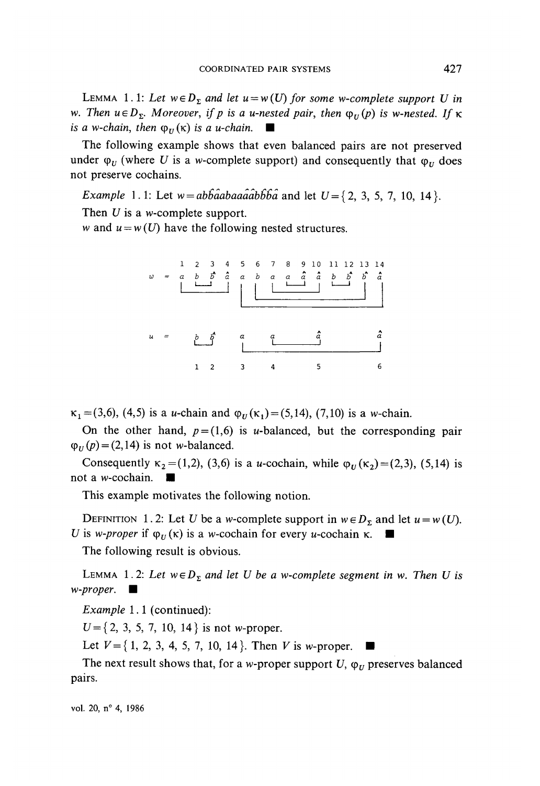LEMMA 1.1: Let  $w \in D_{\Sigma}$  and let  $u=w(U)$  for some w-complete support U in w. Then  $u \in D_{\Sigma}$ . Moreover, if p is a u-nested pair, then  $\varphi_U(p)$  is w-nested. If  $\kappa$ *is a w-chain, then*  $\varphi_U(\kappa)$  *is a u-chain.*  $\blacksquare$ 

The following example shows that even balanced pairs are not preserved under  $\varphi_U$  (where U is a w-complete support) and consequently that  $\varphi_U$  does not preserve cochains.

*Example* 1.1: Let  $w = ab\hat{b}\hat{a}ab\hat{a}ab\hat{b}\hat{b}\hat{a}$  and let  $U = \{2, 3, 5, 7, 10, 14\}$ .

Then *U* is a w-complete support.

w and  $u = w(U)$  have the following nested structures.



 $\kappa_1$  = (3,6), (4,5) is a *u*-chain and  $\varphi_U(\kappa_1)$  = (5,14), (7,10) is a *w*-chain.

On the other hand,  $p = (1,6)$  is u-balanced, but the corresponding pair  $\varphi_U(p) = (2,14)$  is not w-balanced.

Consequently  $\kappa_2 = (1,2)$ , (3,6) is a u-cochain, while  $\varphi_U(\kappa_2) = (2,3)$ , (5,14) is not a *w*-cochain.

This example motivates the following notion.

DEFINITION 1.2: Let U be a *w*-complete support in  $w \in D_{\Sigma}$  and let  $u = w(U)$ . *U* is *w-proper* if  $\varphi$ <sup>*v*</sup> ( $\kappa$ ) is a *w*-cochain for every *u*-cochain  $\kappa$ .

The following result is obvious.

LEMMA 1.2: Let  $w \in D_{\Sigma}$  and let U be a w-complete segment in w. Then U is *w-proper.* •

*Example* 1.1 (continued):

*U={2,* 3, 5, 7, 10, 14} is not w-proper.

Let  $V = \{1, 2, 3, 4, 5, 7, 10, 14\}$ . Then V is w-proper.

The next result shows that, for a *w*-proper support  $U$ ,  $\varphi_U$  preserves balanced pairs.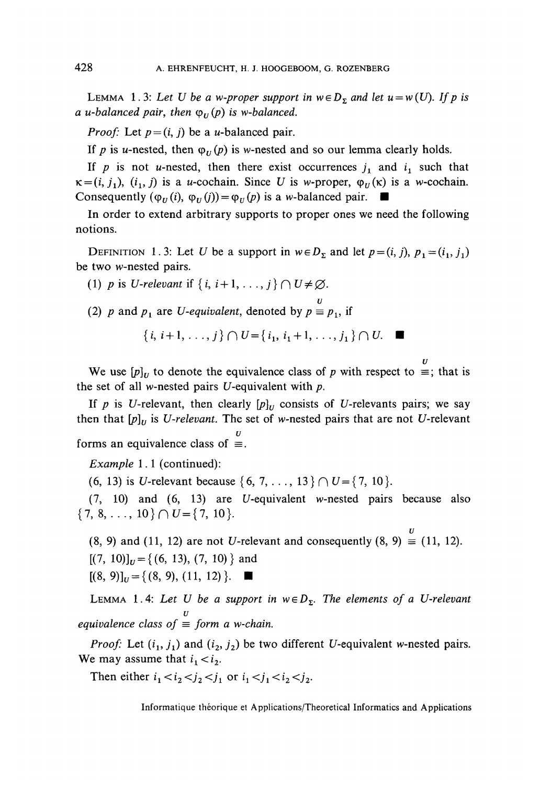LEMMA 1.3: Let U be a w-proper support in  $w \in D_{\Sigma}$  and let  $u = w(U)$ . If p is *a u*-balanced pair, then  $\varphi_{\scriptscriptstyle U}(p)$  is w-balanced.

*Proof:* Let  $p = (i, j)$  be a *u*-balanced pair.

If p is u-nested, then  $\varphi_{U}(p)$  is w-nested and so our lemma clearly holds.

If p is not u-nested, then there exist occurrences  $j_1$  and  $i_1$  such that  $\kappa = (i, j_1), (i_1, j)$  is a *u*-cochain. Since *U* is *w*-proper,  $\varphi_U(\kappa)$  is a *w*-cochain. Consequently  $(\varphi_U(i), \varphi_U(j)) = \varphi_U(p)$  is a *w*-balanced pair.  $\blacksquare$ 

In order to extend arbitrary supports to proper ones we need the following notions.

DEFINITION 1.3: Let U be a support in  $w \in D_{\Sigma}$  and let  $p = (i, j)$ ,  $p_1 = (i_1, j_1)$ be two w-nested pairs.

(1) *p* is *U-relevant* if  $\{i, i+1, \ldots, j\} \cap U \neq \emptyset$ .

*u* (2) *p* and  $p_1$  are *U-equivalent*, denoted by  $p \equiv p_1$ , if

$$
\{i, i+1, \ldots, j\} \cap U = \{i_1, i_1+1, \ldots, j_1\} \cap U. \quad \blacksquare
$$

We use  $[p]_U$  to denote the equivalence class of p with respect to  $\equiv$ ; that is the set of all w-nested pairs  $U$ -equivalent with  $p$ .

If *p* is *U*-relevant, then clearly  $[p]_U$  consists of *U*-relevants pairs; we say then that  $[p]_U$  is *U-relevant*. The set of w-nested pairs that are not *U*-relevant *u* forms an equivalence class of  $\equiv$ .

*Example* 1.1 (continued):

(6, 13) is *U*-relevant because  $\{6, 7, \ldots, 13\} \cap U = \{7, 10\}.$ 

 $(7, 10)$  and  $(6, 13)$  are U-equivalent w-nested pairs because also  $\{7, 8, \ldots, 10\} \cap U = \{7, 10\}.$ 

*u*  $(8, 9)$  and  $(11, 12)$  are not U-relevant and consequently  $(8, 9) \equiv (11, 12)$ .  $[(7, 10)]_{U} = \{(6, 13), (7, 10)\}\$ and  $[(8, 9)]_U = \{(8, 9), (11, 12)\}\.$ 

LEMMA 1.4: Let U be a support in  $w \in D_{\Sigma}$ . The elements of a U-relevant *u équivalence class of = form a w-chain.*

*Proof:* Let  $(i_1, j_1)$  and  $(i_2, j_2)$  be two different U-equivalent w-nested pairs. We may assume that  $i_1 < i_2$ .

Then either  $i_1 < i_2 < j_2 < j_1$  or  $i_1 < j_1 < i_2 < j_2$ .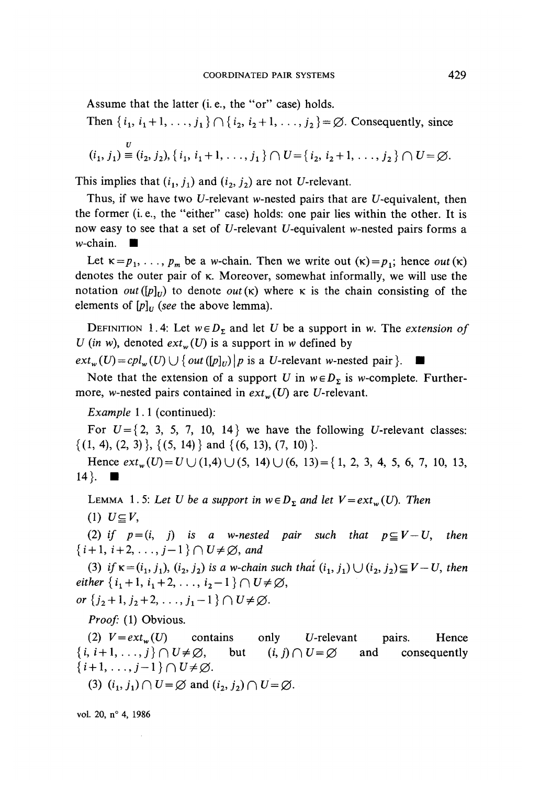Assume that the latter (i. e., the "or" case) holds.

Then 
$$
\{i_1, i_1 + 1, ..., j_1\} \cap \{i_2, i_2 + 1, ..., j_2\} = \emptyset
$$
. Consequently, since  
\n
$$
(i_1, j_1) \equiv (i_2, j_2), \{i_1, i_1 + 1, ..., j_1\} \cap U = \{i_2, i_2 + 1, ..., j_2\} \cap U = \emptyset.
$$

This implies that  $(i_1, j_1)$  and  $(i_2, j_2)$  are not U-relevant.

Thus, if we have two U-relevant w-nested pairs that are U-equivalent, then the former (i. e., the "either" case) holds: one pair lies within the other. It is now easy to see that a set of U-relevant U-equivalent w-nested pairs forms a  $w$ -chain.

Let  $\kappa = p_1, \ldots, p_m$  be a w-chain. Then we write out  $(\kappa) = p_1$ ; hence *out*  $(\kappa)$ denotes the outer pair of k. Moreover, somewhat informally, we will use the notation *out* ( $[p]_U$ ) to denote *out* ( $\kappa$ ) where  $\kappa$  is the chain consisting of the elements of  $[p]_U$  (see the above lemma).

DEFINITION 1.4: Let  $w \in D_2$  and let U be a support in w. The *extension of U* (in w), denoted  $ext_w(U)$  is a support in w defined by

 $ext_w(U) = cpl_w(U) \cup \{out([p]_U)|p \text{ is a } U\text{-relevant } w\text{-nested pair}\}.$ 

Note that the extension of a support U in  $w \in D_{\Sigma}$  is w-complete. Furthermore, w-nested pairs contained in  $ext_w(U)$  are U-relevant.

*Example* 1.1 (continued):

For  $U = \{2, 3, 5, 7, 10, 14\}$  we have the following U-relevant classes:  $\{(1, 4), (2, 3)\}, \{(5, 14)\}\$ and  $\{(6, 13), (7, 10)\}.$ 

Hence *extw(U) = UU(lA)U(59* 14) U (6, 13) = {1, 2, 3, 4, 5, 6, 7, 10, 13, 14 }.  $\blacksquare$ 

LEMMA 1.5: Let U be a support in  $w \in D_{\Sigma}$  and let  $V = ext_{w}(U)$ . Then

(1)  $U \subseteq V$ ,

(2) if  $p = (i, j)$  is a w-nested pair such that  $p \subseteq V-U$ , then  $\{i+1, i+2, \ldots, j-1\} \cap U \neq \emptyset$ , and

(3) if  $\kappa = (i_1, j_1), (i_2, j_2)$  is a w-chain such that  $(i_1, j_1) \cup (i_2, j_2) \subseteq V - U$ , then either  $\{i_1+1, i_1+2, ..., i_2-1\} \cap U \neq \emptyset$ ,

or  $\{j_2+1, j_2+2, \ldots, j_1-1\} \cap U \neq \emptyset$ .

Proof: (1) Obvious.

(2)  $V = ext_w(U)$  contains only *U*-relevant pairs. Hence  $\{i, i+1, \ldots, j\} \cap U \neq \emptyset$ , but  $(i, j) \cap U = \emptyset$  and consequently  $\{i+1,\ldots,j-1\}\cap U\neq\emptyset.$ 

(3)  $(i_1, j_1) \cap U = \emptyset$  and  $(i_2, j_2) \cap U = \emptyset$ .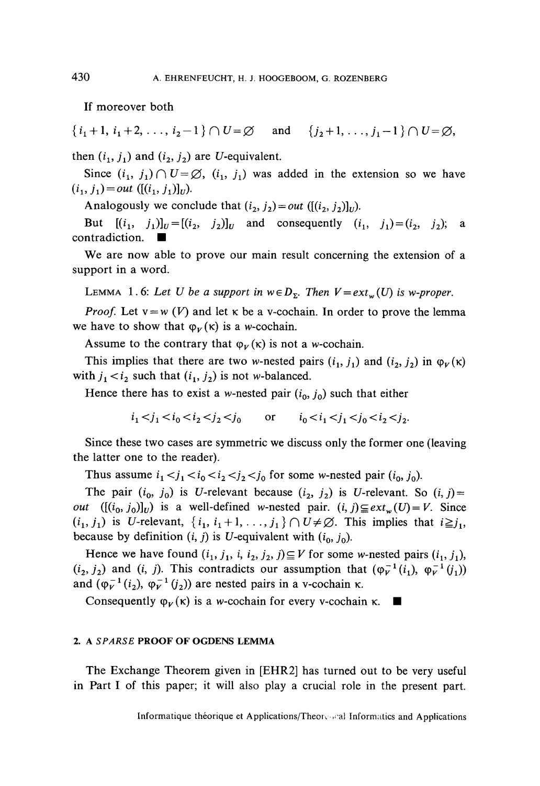If moreover both

 $\{i_1 + 1, i_1 + 2, \ldots, i_2 - 1\} \cap U = \emptyset$  and  $\{j_2 + 1, \ldots, j_1 - 1\} \cap U = \emptyset$ ,

then  $(i_1, j_1)$  and  $(i_2, j_2)$  are U-equivalent.

Since  $(i_1, j_1) \cap U = \emptyset$ ,  $(i_1, j_1)$  was added in the extension so we have  $(i_1, j_1) = out$  ([ $(i_1, j_1)$ ]<sub>U</sub>).

Analogously we conclude that  $(i_2, j_2) = out$  ( $[(i_2, j_2)]$ *vi*).

But  $[(i_1, j_1)]_U = [(i_2, j_2)]_U$  and consequently  $(i_1, j_1) = (i_2, j_2)$ ; a  $contradiction. \blacksquare$ 

We are now able to prove our main resuit concerning the extension of a support in a word.

LEMMA 1.6: Let U be a support in  $w \in D_{\Sigma}$ . Then  $V = ext_{w}(U)$  is w-proper.

*Proof.* Let  $v = w(V)$  and let  $\kappa$  be a v-cochain. In order to prove the lemma we have to show that  $\varphi_V(\kappa)$  is a w-cochain.

Assume to the contrary that  $\varphi_V(\kappa)$  is not a w-cochain.

This implies that there are two w-nested pairs  $(i_1, j_1)$  and  $(i_2, j_2)$  in  $\varphi_K(\kappa)$ with  $j_1 < i_2$  such that  $(i_1, j_2)$  is not w-balanced.

Hence there has to exist a w-nested pair  $(i_0, j_0)$  such that either

 $i_1 < j_1 < i_0 < i_2 < j_2 < j_0$  or  $i_0 < i_1 < j_1 < j_0 < i_2 < j_2$ .

Since these two cases are symmetrie we diseuss only the former one (leaving the latter one to the reader).

Thus assume  $i_1 < j_1 < i_0 < i_2 < j_2 < j_0$  for some w-nested pair  $(i_0, j_0)$ .

The pair  $(i_0, j_0)$  is U-relevant because  $(i_2, j_2)$  is U-relevant. So  $(i, j)$ = *out*  $([(i_0, j_0)]_U)$  is a well-defined w-nested pair.  $(i, j) \subseteq ext_w(U) = V$ . Since  $(i_1, j_1)$  is U-relevant,  $\{i_1, i_1+1, \ldots, j_1\} \cap U \neq \emptyset$ . This implies that  $i \geq j_1$ , because by definition  $(i, j)$  is U-equivalent with  $(i_0, j_0)$ .

Hence we have found  $(i_1, j_1, i, i_2, j_2, j) \subseteq V$  for some w-nested pairs  $(i_1, j_1)$ ,  $(i_2, j_2)$  and  $(i, j)$ . This contradicts our assumption that  $(\varphi_V^{-1}(i_1), \varphi_V^{-1}(j_1))$ and  $(\varphi_V^{-1}(i_2), \varphi_V^{-1}(j_2))$  are nested pairs in a v-cochain  $\kappa$ .

Consequently  $\varphi_V(\kappa)$  is a *w*-cochain for every v-cochain  $\kappa$ .

#### 2. A *SPARSE* **PROOF OF OGDENS LEMMA**

The Exchange Theorem given in [EHR2] has turned out to be very useful in Part I of this paper; it will also play a crucial rôle in the present part.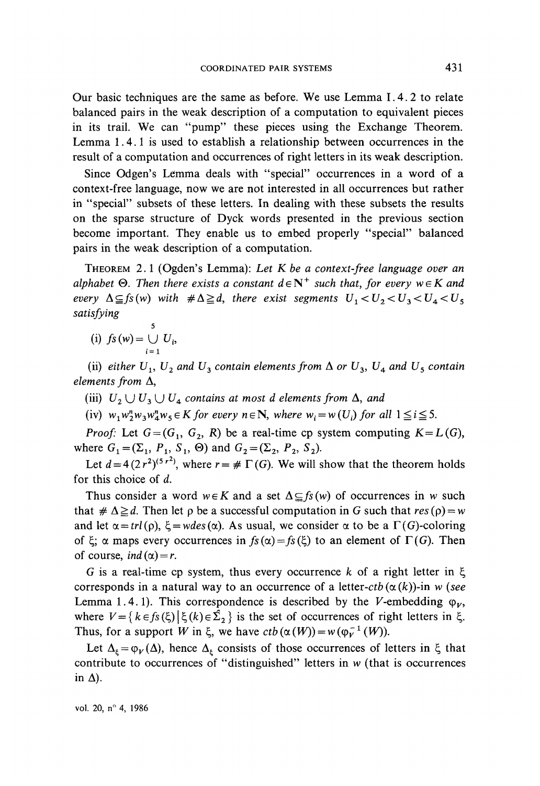Our basic techniques are the same as before. We use Lemma I.4.2 to relate balanced pairs in the weak description of a computation to equivalent pieces in its trail. We can "pump" these pieces using the Exchange Theorem. Lemma 1.4.1 is used to establish a relationship between occurrences in the result of a computation and occurrences of right letters in its weak description.

Since Odgen's Lemma deals with "special" occurrences in a word of a context-free language, now we are not interested in all occurrences but rather in "special" subsets of these letters. In dealing with these subsets the results on the sparse structure of Dyck words presented in the previous section become important. They enable us to embed properly "special" balanced pairs in the weak description of a computation.

THEOREM 2.1 (Ogden's Lemma): *Let Kbe a context-free language over an alphabet*  $\Theta$ . Then there exists a constant  $d \in \mathbb{N}^+$  such that, for every  $w \in K$  and *every*  $\Delta \subseteq f_s(w)$  *with*  $\#\Delta \ge d$ *, there exist segments*  $U_1 < U_2 < U_3 < U_4 < U_5$ *satisfying*

**5** (i)  $f_s(w) = \bigcup U_i$ 

(ii) either  $U_1$ ,  $U_2$  and  $U_3$  contain elements from  $\Delta$  or  $U_3$ ,  $U_4$  and  $U_5$  contain *éléments from* A,

- (iii)  $U_2 \cup U_3 \cup U_4$  contains at most d elements from  $\Delta$ , and
- (iv)  $w_1w_2^nw_3w_4^nw_5 \in K$  for every  $n \in \mathbb{N}$ , where  $w_i = w(U_i)$  for all  $1 \le i \le 5$ .

*Proof:* Let  $G = (G_1, G_2, R)$  be a real-time cp system computing  $K = L(G)$ , where  $G_1 = (\Sigma_1, P_1, S_1, \Theta)$  and  $G_2 = (\Sigma_2, P_2, S_2)$ .

Let  $d = 4(2r^2)^{(5r^2)}$ , where  $r = # \Gamma(G)$ . We will show that the theorem holds for this choice of *d.*

Thus consider a word  $w \in K$  and a set  $\Delta \subseteq f_s(w)$  of occurrences in w such that  $\#\Delta \geq d$ . Then let  $\rho$  be a successful computation in G such that  $res(\rho) = w$ and let  $\alpha = \text{trl}(\rho)$ ,  $\xi = \text{wdes}(\alpha)$ . As usual, we consider  $\alpha$  to be a  $\Gamma(G)$ -coloring of  $\xi$ ;  $\alpha$  maps every occurrences in  $fs(\alpha) = fs(\xi)$  to an element of  $\Gamma(G)$ . Then of course, *ind*  $(\alpha) = r$ .

G is a real-time cp system, thus every occurrence  $k$  of a right letter in  $\xi$ corresponds in a natural way to an occurrence of a letter-ctb  $(\alpha(k))$ -in *w* (see Lemma 1.4.1). This correspondence is described by the V-embedding  $\varphi_V$ , where  $V = \{k \in f_s(\xi) | \xi(k) \in \hat{\Sigma}_2\}$  is the set of occurrences of right letters in  $\xi$ . Thus, for a support *W* in  $\xi$ , we have  $ctb(\alpha(W)) = w(\varphi_V^{-1}(W))$ .

Let  $\Delta_{\xi} = \varphi_V(\Delta)$ , hence  $\Delta_{\xi}$  consists of those occurrences of letters in  $\xi$  that contribute to occurrences of "distinguished" letters in *w* (that is occurrences in  $\Delta$ ).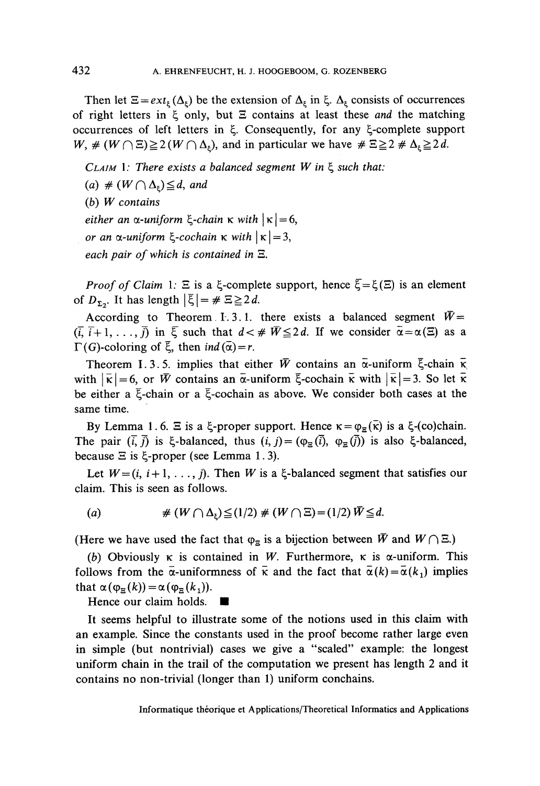Then let  $\Xi = ext_{\xi}(\Delta_{\xi})$  be the extension of  $\Delta_{\xi}$  in  $\xi$ .  $\Delta_{\xi}$  consists of occurrences of right letters in  $\xi$  only, but  $\Xi$  contains at least these and the matching occurrences of left letters in Ç. Consequently, for any ^-complete support  $W, \# (W \cap \Xi) \geq 2 (W \cap \Delta_{\epsilon})$ , and in particular we have  $\# \Xi \geq 2 \# \Delta_{\epsilon} \geq 2d$ .

 $CLAIM$  1: There exists a balanced segment  $W$  in  $\xi$  such that:

- (a)  $\#(W \cap \Delta_{\epsilon}) \leq d$ , and
- (b) W contains

*either an*  $\alpha$ *-uniform*  $\xi$ -*chain*  $\kappa$  with  $|\kappa| = 6$ ,

- *or an*  $\alpha$ *-uniform*  $\xi$ -cochain  $\kappa$  with  $|\kappa| = 3$ ,
- *each pair of which is contained in* S.

*Proof of Claim* 1:  $\Xi$  is a  $\xi$ -complete support, hence  $\xi = \xi(\Xi)$  is an element of  $D_{\Sigma_2}$ . It has length  $|\xi| = \# \Xi \geq 2 d$ .

According to Theorem I.3.1. there exists a balanced segment  $\bar{W}$ =  $(\bar{i}, \bar{i}+1, \ldots, \bar{j})$  in  $\bar{\xi}$  such that  $d < \#\bar{W} \leq 2d$ . If we consider  $\bar{\alpha} = \alpha(\Xi)$  as a  $\Gamma(G)$ -coloring of  $\overline{\xi}$ , then *ind* ( $\overline{\alpha}$ ) = r.

Theorem I.3.5. implies that either  $\bar{W}$  contains an  $\bar{\alpha}$ -uniform  $\bar{\xi}$ -chain  $\bar{\kappa}$ with  $|\bar{\kappa}| = 6$ , or  $\bar{W}$  contains an  $\bar{\alpha}$ -uniform  $\bar{\xi}$ -cochain  $\bar{\kappa}$  with  $|\bar{\kappa}| = 3$ . So let  $\bar{\kappa}$ be either a  $\bar{\xi}$ -chain or a  $\bar{\xi}$ -cochain as above. We consider both cases at the same time.

By Lemma 1.6.  $\Xi$  is a  $\xi$ -proper support. Hence  $\kappa = \varphi_{\Xi}(\overline{\kappa})$  is a  $\xi$ -(co)chain. The pair  $(\overline{i}, \overline{j})$  is  $\xi$ -balanced, thus  $(i, j) = (\varphi_{\overline{\alpha}}(\overline{i}), \varphi_{\overline{\alpha}}(\overline{j}))$  is also  $\xi$ -balanced, because  $\Xi$  is  $\xi$ -proper (see Lemma 1.3).

Let  $W = (i, i+1, \ldots, j)$ . Then *W* is a  $\xi$ -balanced segment that satisfies our claim. This is seen as follows.

(a) 
$$
\# \left( W \cap \Delta_{\xi} \right) \leq (1/2) \# \left( W \cap \Xi \right) = (1/2) \overline{W} \leq d.
$$

(Here we have used the fact that  $\varphi_{\Xi}$  is a bijection between  $\bar{W}$  and  $W \cap \Xi$ .)

(b) Obviously  $\kappa$  is contained in W. Furthermore,  $\kappa$  is  $\alpha$ -uniform. This follows from the  $\bar{\alpha}$ -uniformness of  $\bar{\kappa}$  and the fact that  $\bar{\alpha}(k) = \bar{\alpha}(k_1)$  implies that  $\alpha(\varphi_{\Xi}(k))=\alpha(\varphi_{\Xi}(k_1)).$ 

Hence our claim holds. •

It seems helpful to illustrate some of the notions used in this claim with an example. Since the constants used in the proof become rather large even in simple (but nontrivial) cases we give a "scaled" example: the longest uniform chain in the trail of the computation we present has length 2 and it contains no non-trivial (longer than 1) uniform conchains.

Informatique théorique et Applications/Theoretical Informaties and Applications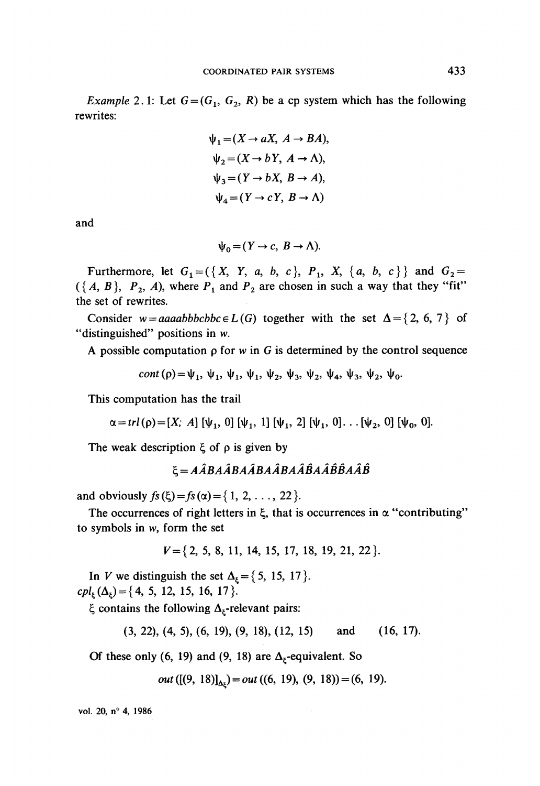*Example* 2.1: Let  $G = (G_1, G_2, R)$  be a cp system which has the following rewrites:

$$
\psi_1 = (X \to aX, A \to BA),
$$
  
\n
$$
\psi_2 = (X \to bY, A \to \Lambda),
$$
  
\n
$$
\psi_3 = (Y \to bX, B \to A),
$$
  
\n
$$
\psi_4 = (Y \to cY, B \to \Lambda)
$$

and

$$
\psi_0 = (Y \to c, B \to \Lambda).
$$

Furthermore, let  $G_1 = (\{X, Y, a, b, c\}, P_1, X, \{a, b, c\})$  and  $G_2 =$  $({A, B}, P_2, A)$ , where  $P_1$  and  $P_2$  are chosen in such a way that they "fit" the set of rewrites.

Consider  $w = aaaabbbcbbc \in L(G)$  together with the set  $\Delta = \{2, 6, 7\}$  of "distinguished" positions in w.

A possible computation  $\rho$  for w in G is determined by the control sequence

cont (p) =  $\Psi_1$ ,  $\Psi_1$ ,  $\Psi_1$ ,  $\Psi_2$ ,  $\Psi_2$ ,  $\Psi_3$ ,  $\Psi_4$ ,  $\Psi_3$ ,  $\Psi_2$ ,  $\Psi_2$ ,  $\Psi_0$ .

This computation has the trail

 $\alpha = trl(\rho) = [X; A] [\psi_1, 0] [\psi_1, 1] [\psi_1, 2] [\psi_1, 0] \dots [\psi_2, 0] [\psi_0, 0].$ 

The weak description  $\xi$  of  $\rho$  is given by

$$
\xi = A\hat{A}BA\hat{A}BA\hat{A}BA\hat{A}\hat{B}A\hat{A}\hat{B}\hat{B}A\hat{A}\hat{B}
$$

and obviously  $fs(\xi) = fs(\alpha) = \{1, 2, ..., 22\}$ .

The occurrences of right letters in  $\xi$ , that is occurrences in  $\alpha$  "contributing" to symbols in w, form the set

 $V = \{2, 5, 8, 11, 14, 15, 17, 18, 19, 21, 22\}.$ 

In V we distinguish the set  $\Delta_{\xi} = \{5, 15, 17\}.$  $cpl_{\varepsilon}(\Delta_{\varepsilon}) = \{4, 5, 12, 15, 16, 17\}.$ 

 $\xi$  contains the following  $\Delta_{\xi}$ -relevant pairs:

 $(3, 22), (4, 5), (6, 19), (9, 18), (12, 15)$ and  $(16, 17).$ 

Of these only (6, 19) and (9, 18) are  $\Delta_{\xi}$ -equivalent. So

out ([(9, 18)]<sub> $\Delta_{k}$ </sub> $) = out$  ((6, 19), (9, 18)) = (6, 19).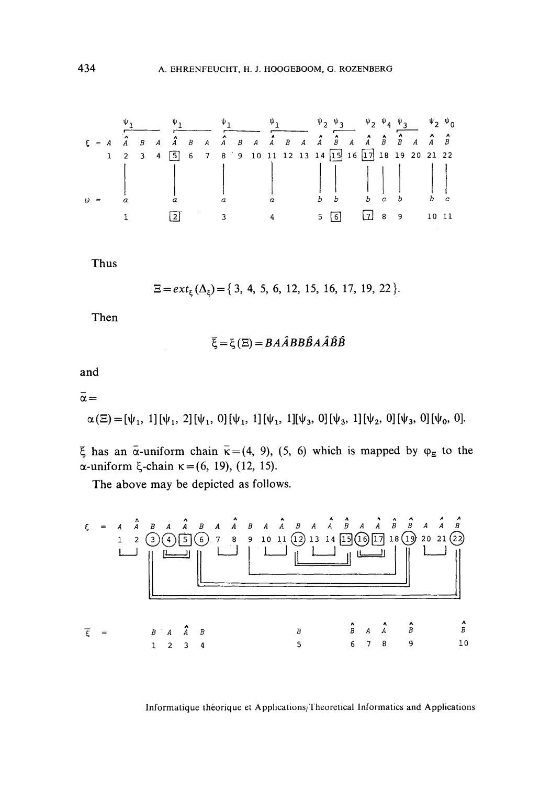Thus

 $\Xi = ext_{\xi}(\Delta_{\xi}) = \{3, 4, 5, 6, 12, 15, 16, 17, 19, 22\}.$ 

Then

$$
\bar{\xi} = \xi(\Xi) = BA\hat{A}BB\hat{B}A\hat{A}\hat{B}\hat{B}
$$

and

 $\bar{\alpha} =$ 

$$
\alpha(\Xi) = [\psi_1, 1][\psi_1, 2][\psi_1, 0][\psi_1, 1][\psi_1, 1][\psi_3, 0][\psi_3, 1][\psi_2, 0][\psi_3, 0][\psi_0, 0].
$$

 $\overline{\xi}$  has an  $\overline{\alpha}$ -uniform chain  $\overline{\kappa} = (4, 9), (5, 6)$  which is mapped by  $\varphi_{\overline{\alpha}}$  to the α-uniform ξ-chain  $\kappa = (6, 19), (12, 15)$ .

The above may be depicted as follows.

Informatique théorique et Applications/Theoretical Informatics and Applications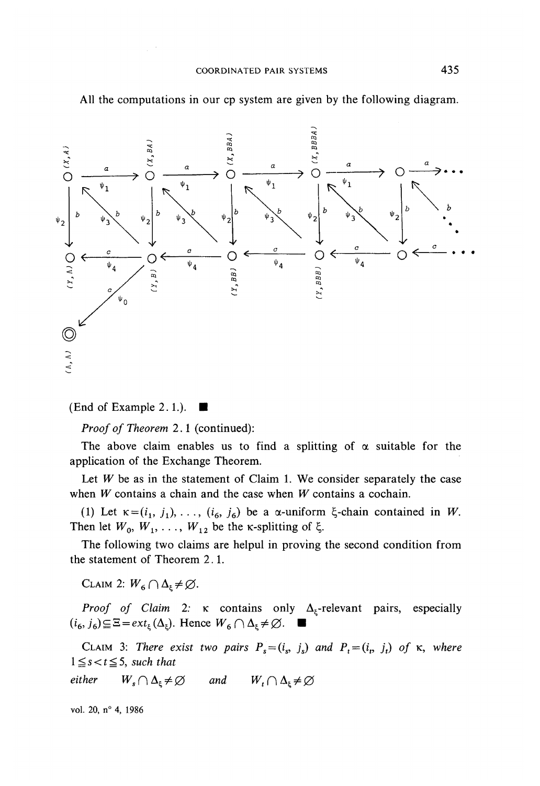

All the computations in our cp system are given by the following diagram.

(End of Example 2.1.).  $\blacksquare$ 

*Proof of Theorem* 2.1 (continued):

The above claim enables us to find a splitting of  $\alpha$  suitable for the application of the Exchange Theorem.

Let  $W$  be as in the statement of Claim 1. We consider separately the case when *W* contains a chain and the case when *W* contains a cochain.

(1) Let  $\kappa = (i_1, j_1), \ldots, (i_6, j_6)$  be a  $\alpha$ -uniform  $\xi$ -chain contained in W. Then let  $W_0$ ,  $W_1$ , ...,  $W_{12}$  be the *K*-splitting of  $\xi$ .

The following two claims are helpul in proving the second condition from the statement of Theorem 2.1.

CLAIM 2:  $W_6 \cap \Delta_{\epsilon} \neq \emptyset$ .

*Proof of Claim 2:*  $\kappa$  contains only  $\Delta_{\xi}$ -relevant pairs, especially  $(i_6, j_6) \subseteq \Xi = ext_{\xi}(\Delta_{\xi})$ . Hence  $W_6 \cap \Delta_{\xi} \neq \emptyset$ .

CLAIM 3: There exist two pairs  $P_s = (i_s, j_s)$  and  $P_t = (i_t, j_t)$  of  $\kappa$ , where  $1 \leq s < t \leq 5$ *, such that* 

*either*  $W_s \cap \Delta_\varepsilon \neq \emptyset$  and  $W_{\iota} \cap \Delta_{\varepsilon} \neq \varnothing$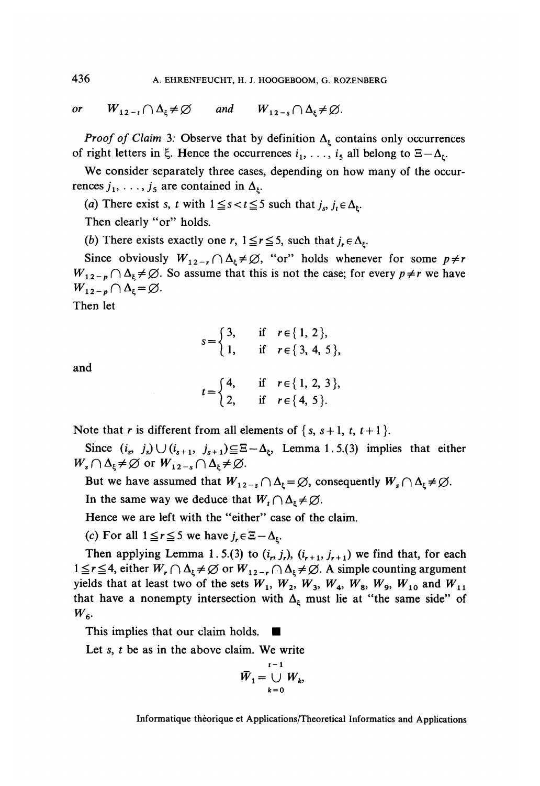*or*  $W_{12-t} \cap \Delta_t \neq \emptyset$  and  $W_{12-t} \cap \Delta_t \neq \emptyset$ .

*Proof of Claim* 3: Observe that by definition  $\Delta_{\xi}$  contains only occurrences of right letters in  $\xi$ . Hence the occurrences  $i_1, \ldots, i_5$  all belong to  $\Xi - \Delta_{\xi}$ .

We consider separately three cases, depending on how many of the occurrences  $j_1, \ldots, j_5$  are contained in  $\Delta_{\xi}$ .

(a) There exist *s*, *t* with  $1 \le s < t \le 5$  such that  $j_s$ ,  $j_t \in \Delta_{\xi}$ .

Then clearly "or" holds.

(b) There exists exactly one r,  $1 \le r \le 5$ , such that  $j_r \in \Delta_{\xi}$ .

Since obviously  $W_{12-r} \cap \Delta_{\xi} \neq \emptyset$ , "or" holds whenever for some  $p \neq r$  $W_{12-p} \cap \Delta_{\xi} \neq \emptyset$ . So assume that this is not the case; for every  $p \neq r$  we have  $W_{12-p} \cap \Delta_{\xi} = \varnothing.$ 

Then let

$$
s = \begin{cases} 3, & \text{if } r \in \{1, 2\}, \\ 1, & \text{if } r \in \{3, 4, 5\}, \end{cases}
$$
  

$$
t = \begin{cases} 4, & \text{if } r \in \{1, 2, 3\}, \\ 2, & \text{if } r \in \{4, 5\}. \end{cases}
$$

and

Note that *r* is different from all elements of  $\{s, s+1, t, t+1\}$ .

Since  $(i_s, j_s) \cup (i_{s+1}, j_{s+1}) \subseteq \Xi - \Delta_k$ , Lemma 1.5.(3) implies that either  $W_s \cap \Delta_{\xi} \neq \emptyset$  or  $W_{12-s} \cap \Delta_{\xi} \neq \emptyset$ .

But we have assumed that  $W_{12-s} \cap \Delta_{\xi} = \emptyset$ , consequently  $W_s \cap \Delta_{\xi} \neq$ 

In the same way we deduce that  $W_t \cap \Delta_{\xi} \neq \emptyset$ .

Hence we are left with the "either" case of the claim.

(c) For all  $1 \le r \le 5$  we have  $j_r \in \Xi - \Delta_k$ .

Then applying Lemma 1.5.(3) to  $(i_r, j_r)$ ,  $(i_{r+1}, j_{r+1})$  we find that, for each  $1 \le r \le 4$ , either  $W_r \cap \Delta_\xi \ne \emptyset$  or  $W_{12-r} \cap \Delta_\xi \ne \emptyset$ . A simple counting argument yields that at least two of the sets  $W_1$ ,  $W_2$ ,  $W_3$ ,  $W_4$ ,  $W_8$ ,  $W_9$ ,  $W_{10}$  and  $W_{11}$ that have a nonempty intersection with  $\Delta_{\xi}$  must lie at "the same side" of  $W_{6}$ 

This implies that our claim holds.

Let *s, t* be as in the above claim. We write

$$
\overline{W}_1 = \bigcup_{k=0}^{t-1} W_k,
$$

Informatique théorique et Applications/Theoretical Informaties and Applications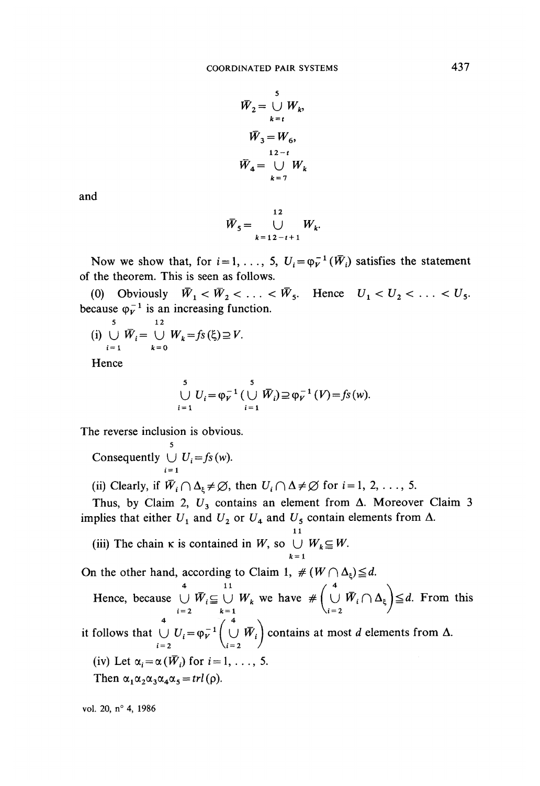$$
\overline{W}_2 = \bigcup_{k=t}^{5} W_k,
$$
  

$$
\overline{W}_3 = W_6,
$$
  

$$
\overline{W}_4 = \bigcup_{k=7}^{12-t} W_k
$$

and

$$
\bar{W}_5 = \bigcup_{k=12-t+1}^{12} W_k.
$$

Now we show that, for  $i = 1, \ldots, 5$ ,  $U_i = \varphi_V^{-1}(\bar{W}_i)$  satisfies the statement of the theorem. This is seen as follows.

(0) Obviously  $\overline{W}_1 < \overline{W}_2 < \ldots < \overline{W}_5$ . Hence  $U_1 < U_2 < \ldots < U_5$ . because  $\varphi_V^{-1}$  is an increasing function.

(i) 
$$
\bigcup_{i=1}^{5} \overline{W}_i = \bigcup_{k=0}^{12} W_k = fs(\xi) \supseteq V.
$$

Hence

$$
\bigcup_{i=1}^{5} U_i = \varphi_V^{-1} \big( \bigcup_{i=1}^{5} \bar{W}_i \big) \supseteq \varphi_V^{-1} \big( V \big) = f_S \big( w \big).
$$

The reverse inclusion is obvious.

 $\sum_{i=0}^{5}$  Consequently  $\bigcup U_i = f_s(w)$ .

(ii) Clearly, if  $\overline{W}_i \cap \Delta_{\xi} \neq \emptyset$ , then  $U_i \cap \Delta \neq \emptyset$  for  $i = 1, 2, ..., 5$ .

Thus, by Claim 2,  $U_3$  contains an element from  $\Delta$ . Moreover Claim 3 implies that either  $U_1$  and  $U_2$  or  $U_4$  and  $U_5$  contain elements from  $\Delta$ .

 $\mathbf{I}$ : (iii) The chain  $\kappa$  is contained in *W*, so  $\bigcup_{k=1} W_k \subseteq W$ .

On the other hand, according to Claim 1,  $# (W \cap \Delta_{\xi}) \geq a$ .

Hence, because  $\bigcup_{i=2} W_i \subseteq \bigcup_{k=1} W_k$  we have  $\# \bigcup_{i=2} W_i \cap \Delta_{\xi} \big) \cong a$ . From this it follows that  $\bigcup_{i=2}^{4} U_i = \varphi_V^{-1} \left( \bigcup_{i=2}^{4} \overline{W}_i \right)$  contains at most *d* elements from  $\Delta$ . (iv) Let  $\alpha_i = \alpha(\overline{W}_i)$  for  $i = 1, \ldots, 5$ . Then  $\alpha_1 \alpha_2 \alpha_3 \alpha_4 \alpha_5 = \frac{trl(\rho)}{2}$ .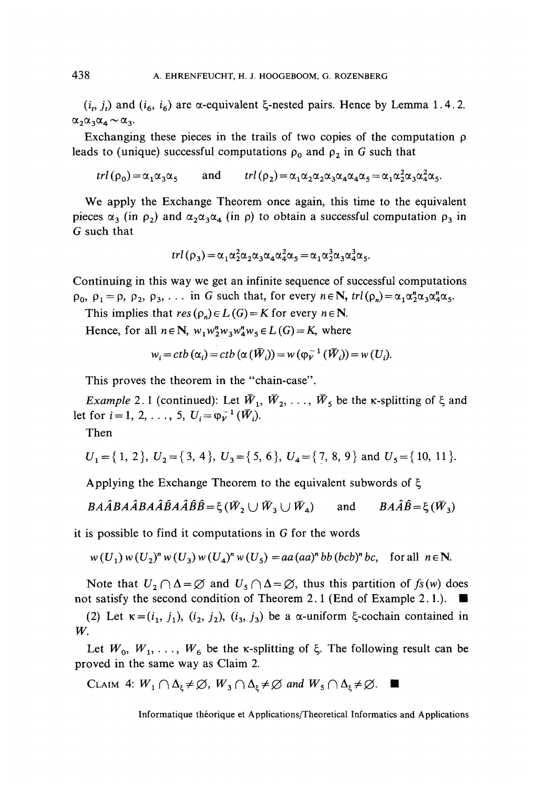$(i_p, j_t)$  and  $(i_6, i_6)$  are  $\alpha$ -equivalent  $\xi$ -nested pairs. Hence by Lemma 1.4.2.  $\alpha_2 \alpha_3 \alpha_4 \sim \alpha_3$ .

Exchanging these pieces in the trails of two copies of the computation  $\rho$ leads to (unique) successful computations  $\rho_0$  and  $\rho_2$  in G such that

$$
trl(\rho_0) = \alpha_1 \alpha_3 \alpha_5 \quad \text{and} \quad trl(\rho_2) = \alpha_1 \alpha_2 \alpha_3 \alpha_4 \alpha_4 \alpha_5 = \alpha_1 \alpha_2^2 \alpha_3 \alpha_4^2 \alpha_5.
$$

We apply the Exchange Theorem once again, this time to the equivalent pieces  $\alpha_3$  (in  $\rho_2$ ) and  $\alpha_2\alpha_3\alpha_4$  (in  $\rho$ ) to obtain a successful computation  $\rho_3$  in G such that

$$
trl(\rho_3) = \alpha_1 \alpha_2^2 \alpha_2 \alpha_3 \alpha_4 \alpha_4^2 \alpha_5 = \alpha_1 \alpha_2^3 \alpha_3 \alpha_4^3 \alpha_5.
$$

Continuing in this way we get an infinite sequence of successful computations  $\rho_0$ ,  $\rho_1 = \rho$ ,  $\rho_2$ ,  $\rho_3$ , ... in G such that, for every  $n \in \mathbb{N}$ ,  $\text{trl}(\rho_n) = \alpha_1 \alpha_2^n \alpha_3 \alpha_4^n \alpha_5$ .

This implies that  $res(\rho_n) \in L(G) = K$  for every  $n \in \mathbb{N}$ .

Hence, for all  $n \in \mathbb{N}$ ,  $w_1 w_2^n w_3 w_4^n w_5 \in L(G) = K$ , where

$$
w_i = ctb(\alpha_i) = ctb(\alpha(\overline{W}_i)) = w(\varphi_V^{-1}(\overline{W}_i)) = w(U_i).
$$

This proves the theorem in the "chain-case".

and the angle

*Example* 2.1 (continued): Let  $\bar{W}_1$ ,  $\bar{W}_2$ , ...,  $\bar{W}_5$  be the *k*-splitting of  $\xi$  and let for  $i = 1, 2, ..., 5, U_i = \varphi_V^{-1}(\bar{W}_i)$ .

Then

$$
U_1 = \{1, 2\}, U_2 = \{3, 4\}, U_3 = \{5, 6\}, U_4 = \{7, 8, 9\}
$$
 and  $U_5 = \{10, 11\}.$ 

Applying the Exchange Theorem to the equivalent subwords of  $\xi$ 

$$
BA\widehat{A}BA\widehat{A}BA\widehat{A}\widehat{B}A\widehat{A}\widehat{B}\widehat{B}=\xi(\overline{W}_2\cup\overline{W}_3\cup\overline{W}_4) \quad \text{and} \quad BA\widehat{A}\widehat{B}=\xi(\overline{W}_3)
$$

it is possible to find it computations in  $G$  for the words

$$
w(U_1) w(U_2)^n w(U_3) w(U_4)^n w(U_5) = aa(aa)^n bb (bcb)^n bc
$$
, for all  $n \in \mathbb{N}$ .

Note that  $U_2 \cap \Delta = \emptyset$  and  $U_5 \cap \Delta = \emptyset$ , thus this partition of  $f_s(w)$  does not satisfy the second condition of Theorem 2.1 (End of Example 2.1.).  $\blacksquare$ 

(2) Let  $\kappa = (i_1, j_1), (i_2, j_2), (i_3, j_3)$  be a  $\alpha$ -uniform  $\xi$ -cochain contained in W.

Let  $W_0, W_1, \ldots, W_6$  be the k-splitting of  $\xi$ . The following result can be proved in the same way as Claim 2.

CLAIM 4:  $W_1 \cap \Delta_{\xi} \neq \emptyset$ ,  $W_3 \cap \Delta_{\xi} \neq \emptyset$  and  $W_5 \cap \Delta_{\xi} \neq \emptyset$ .

Informatique théorique et Applications/Theoretical Informatics and Applications